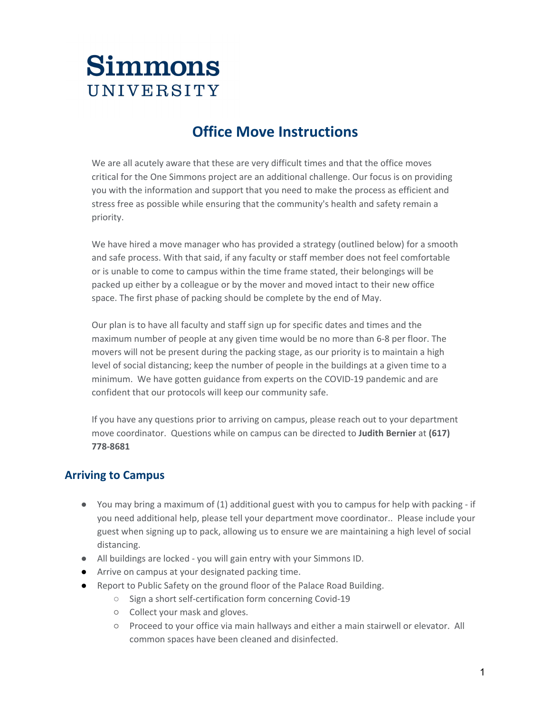### **Office Move Instructions**

We are all acutely aware that these are very difficult times and that the office moves critical for the One Simmons project are an additional challenge. Our focus is on providing you with the information and support that you need to make the process as efficient and stress free as possible while ensuring that the community's health and safety remain a priority.

We have hired a move manager who has provided a strategy (outlined below) for a smooth and safe process. With that said, if any faculty or staff member does not feel comfortable or is unable to come to campus within the time frame stated, their belongings will be packed up either by a colleague or by the mover and moved intact to their new office space. The first phase of packing should be complete by the end of May.

Our plan is to have all faculty and staff sign up for specific dates and times and the maximum number of people at any given time would be no more than 6-8 per floor. The movers will not be present during the packing stage, as our priority is to maintain a high level of social distancing; keep the number of people in the buildings at a given time to a minimum. We have gotten guidance from experts on the COVID-19 pandemic and are confident that our protocols will keep our community safe.

If you have any questions prior to arriving on campus, please reach out to your department move coordinator. Questions while on campus can be directed to **Judith Bernier** at **(617) 778-8681**

#### **Arriving to Campus**

- You may bring a maximum of (1) additional guest with you to campus for help with packing if you need additional help, please tell your department move coordinator.. Please include your guest when signing up to pack, allowing us to ensure we are maintaining a high level of social distancing.
- All buildings are locked you will gain entry with your Simmons ID.
- Arrive on campus at your designated packing time.
- Report to Public Safety on the ground floor of the Palace Road Building.
	- Sign a short self-certification form concerning Covid-19
	- Collect your mask and gloves.
	- Proceed to your office via main hallways and either a main stairwell or elevator. All common spaces have been cleaned and disinfected.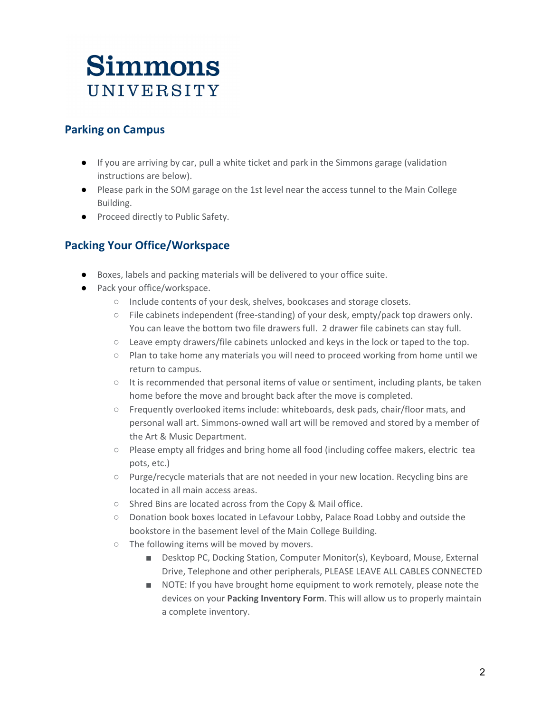#### **Parking on Campus**

- If you are arriving by car, pull a white ticket and park in the Simmons garage (validation instructions are below).
- Please park in the SOM garage on the 1st level near the access tunnel to the Main College Building.
- Proceed directly to Public Safety.

#### **Packing Your Office/Workspace**

- Boxes, labels and packing materials will be delivered to your office suite.
- Pack your office/workspace.
	- Include contents of your desk, shelves, bookcases and storage closets.
	- $\circ$  File cabinets independent (free-standing) of your desk, empty/pack top drawers only. You can leave the bottom two file drawers full. 2 drawer file cabinets can stay full.
	- $\circ$  Leave empty drawers/file cabinets unlocked and keys in the lock or taped to the top.
	- Plan to take home any materials you will need to proceed working from home until we return to campus.
	- It is recommended that personal items of value or sentiment, including plants, be taken home before the move and brought back after the move is completed.
	- Frequently overlooked items include: whiteboards, desk pads, chair/floor mats, and personal wall art. Simmons-owned wall art will be removed and stored by a member of the Art & Music Department.
	- Please empty all fridges and bring home all food (including coffee makers, electric tea pots, etc.)
	- $\circ$  Purge/recycle materials that are not needed in your new location. Recycling bins are located in all main access areas.
	- Shred Bins are located across from the Copy & Mail office.
	- Donation book boxes located in Lefavour Lobby, Palace Road Lobby and outside the bookstore in the basement level of the Main College Building.
	- The following items will be moved by movers.
		- Desktop PC, Docking Station, Computer Monitor(s), Keyboard, Mouse, External Drive, Telephone and other peripherals, PLEASE LEAVE ALL CABLES CONNECTED
		- NOTE: If you have brought home equipment to work remotely, please note the devices on your **Packing Inventory Form**. This will allow us to properly maintain a complete inventory.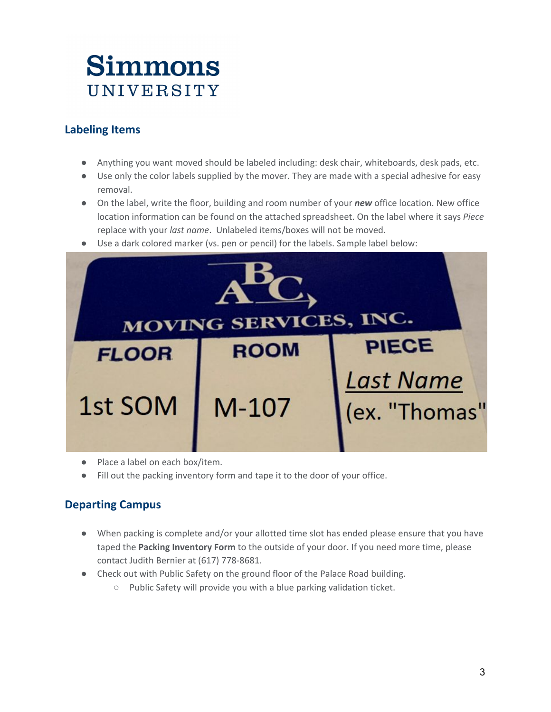### **Labeling Items**

- Anything you want moved should be labeled including: desk chair, whiteboards, desk pads, etc.
- Use only the color labels supplied by the mover. They are made with a special adhesive for easy removal.
- On the label, write the floor, building and room number of your *new* office location. New office location information can be found on the attached spreadsheet. On the label where it says *Piece* replace with your *last name*. Unlabeled items/boxes will not be moved.
- Use a dark colored marker (vs. pen or pencil) for the labels. Sample label below:



- Place a label on each box/item.
- Fill out the packing inventory form and tape it to the door of your office.

### **Departing Campus**

- When packing is complete and/or your allotted time slot has ended please ensure that you have taped the **Packing Inventory Form** to the outside of your door. If you need more time, please contact Judith Bernier at (617) 778-8681.
- Check out with Public Safety on the ground floor of the Palace Road building.
	- Public Safety will provide you with a blue parking validation ticket.